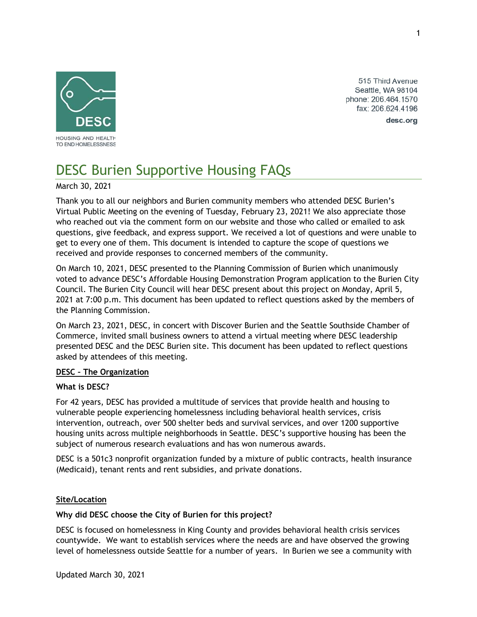

515 Third Avenue Seattle, WA 98104 phone: 206.464.1570 fax: 206.624.4196

desc.org

# DESC Burien Supportive Housing FAQs

March 30, 2021

Thank you to all our neighbors and Burien community members who attended DESC Burien's Virtual Public Meeting on the evening of Tuesday, February 23, 2021! We also appreciate those who reached out via the comment form on our website and those who called or emailed to ask questions, give feedback, and express support. We received a lot of questions and were unable to get to every one of them. This document is intended to capture the scope of questions we received and provide responses to concerned members of the community.

On March 10, 2021, DESC presented to the Planning Commission of Burien which unanimously voted to advance DESC's Affordable Housing Demonstration Program application to the Burien City Council. The Burien City Council will hear DESC present about this project on Monday, April 5, 2021 at 7:00 p.m. This document has been updated to reflect questions asked by the members of the Planning Commission.

On March 23, 2021, DESC, in concert with Discover Burien and the Seattle Southside Chamber of Commerce, invited small business owners to attend a virtual meeting where DESC leadership presented DESC and the DESC Burien site. This document has been updated to reflect questions asked by attendees of this meeting.

## **DESC – The Organization**

## **What is DESC?**

For 42 years, DESC has provided a multitude of services that provide health and housing to vulnerable people experiencing homelessness including behavioral health services, crisis intervention, outreach, over 500 shelter beds and survival services, and over 1200 supportive housing units across multiple neighborhoods in Seattle. DESC's supportive housing has been the subject of numerous research evaluations and has won numerous awards.

DESC is a 501c3 nonprofit organization funded by a mixture of public contracts, health insurance (Medicaid), tenant rents and rent subsidies, and private donations.

## **Site/Location**

## **Why did DESC choose the City of Burien for this project?**

DESC is focused on homelessness in King County and provides behavioral health crisis services countywide. We want to establish services where the needs are and have observed the growing level of homelessness outside Seattle for a number of years. In Burien we see a community with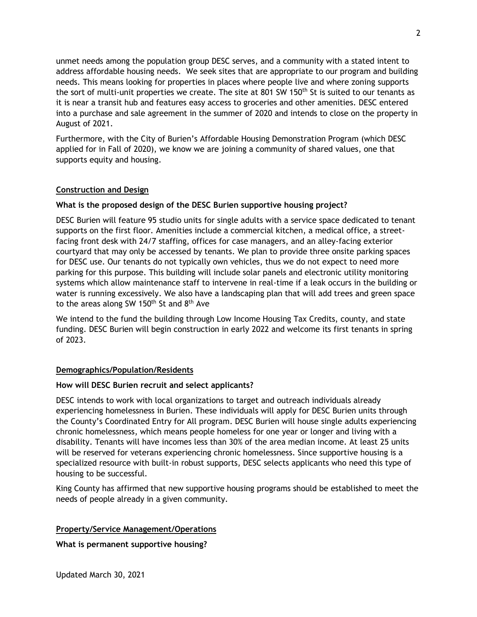unmet needs among the population group DESC serves, and a community with a stated intent to address affordable housing needs. We seek sites that are appropriate to our program and building needs. This means looking for properties in places where people live and where zoning supports the sort of multi-unit properties we create. The site at 801 SW 150<sup>th</sup> St is suited to our tenants as it is near a transit hub and features easy access to groceries and other amenities. DESC entered into a purchase and sale agreement in the summer of 2020 and intends to close on the property in August of 2021.

Furthermore, with the City of Burien's Affordable Housing Demonstration Program (which DESC applied for in Fall of 2020), we know we are joining a community of shared values, one that supports equity and housing.

## **Construction and Design**

## **What is the proposed design of the DESC Burien supportive housing project?**

DESC Burien will feature 95 studio units for single adults with a service space dedicated to tenant supports on the first floor. Amenities include a commercial kitchen, a medical office, a streetfacing front desk with 24/7 staffing, offices for case managers, and an alley-facing exterior courtyard that may only be accessed by tenants. We plan to provide three onsite parking spaces for DESC use. Our tenants do not typically own vehicles, thus we do not expect to need more parking for this purpose. This building will include solar panels and electronic utility monitoring systems which allow maintenance staff to intervene in real-time if a leak occurs in the building or water is running excessively. We also have a landscaping plan that will add trees and green space to the areas along SW 150<sup>th</sup> St and  $8<sup>th</sup>$  Ave

We intend to the fund the building through Low Income Housing Tax Credits, county, and state funding. DESC Burien will begin construction in early 2022 and welcome its first tenants in spring of 2023.

## **Demographics/Population/Residents**

## **How will DESC Burien recruit and select applicants?**

DESC intends to work with local organizations to target and outreach individuals already experiencing homelessness in Burien. These individuals will apply for DESC Burien units through the County's Coordinated Entry for All program. DESC Burien will house single adults experiencing chronic homelessness, which means people homeless for one year or longer and living with a disability. Tenants will have incomes less than 30% of the area median income. At least 25 units will be reserved for veterans experiencing chronic homelessness. Since supportive housing is a specialized resource with built-in robust supports, DESC selects applicants who need this type of housing to be successful.

King County has affirmed that new supportive housing programs should be established to meet the needs of people already in a given community.

# **Property/Service Management/Operations**

**What is permanent supportive housing?**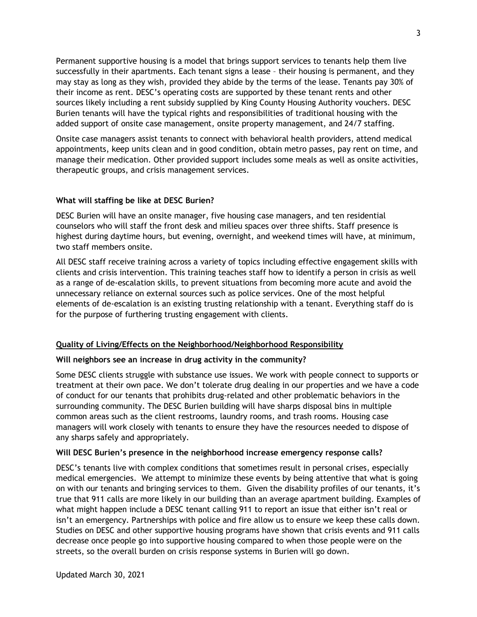Permanent supportive housing is a model that brings support services to tenants help them live successfully in their apartments. Each tenant signs a lease – their housing is permanent, and they may stay as long as they wish, provided they abide by the terms of the lease. Tenants pay 30% of their income as rent. DESC's operating costs are supported by these tenant rents and other sources likely including a rent subsidy supplied by King County Housing Authority vouchers. DESC Burien tenants will have the typical rights and responsibilities of traditional housing with the added support of onsite case management, onsite property management, and 24/7 staffing.

Onsite case managers assist tenants to connect with behavioral health providers, attend medical appointments, keep units clean and in good condition, obtain metro passes, pay rent on time, and manage their medication. Other provided support includes some meals as well as onsite activities, therapeutic groups, and crisis management services.

## **What will staffing be like at DESC Burien?**

DESC Burien will have an onsite manager, five housing case managers, and ten residential counselors who will staff the front desk and milieu spaces over three shifts. Staff presence is highest during daytime hours, but evening, overnight, and weekend times will have, at minimum, two staff members onsite.

All DESC staff receive training across a variety of topics including effective engagement skills with clients and crisis intervention. This training teaches staff how to identify a person in crisis as well as a range of de-escalation skills, to prevent situations from becoming more acute and avoid the unnecessary reliance on external sources such as police services. One of the most helpful elements of de-escalation is an existing trusting relationship with a tenant. Everything staff do is for the purpose of furthering trusting engagement with clients.

# **Quality of Living/Effects on the Neighborhood/Neighborhood Responsibility**

## **Will neighbors see an increase in drug activity in the community?**

Some DESC clients struggle with substance use issues. We work with people connect to supports or treatment at their own pace. We don't tolerate drug dealing in our properties and we have a code of conduct for our tenants that prohibits drug-related and other problematic behaviors in the surrounding community. The DESC Burien building will have sharps disposal bins in multiple common areas such as the client restrooms, laundry rooms, and trash rooms. Housing case managers will work closely with tenants to ensure they have the resources needed to dispose of any sharps safely and appropriately.

## **Will DESC Burien's presence in the neighborhood increase emergency response calls?**

DESC's tenants live with complex conditions that sometimes result in personal crises, especially medical emergencies. We attempt to minimize these events by being attentive that what is going on with our tenants and bringing services to them. Given the disability profiles of our tenants, it's true that 911 calls are more likely in our building than an average apartment building. Examples of what might happen include a DESC tenant calling 911 to report an issue that either isn't real or isn't an emergency. Partnerships with police and fire allow us to ensure we keep these calls down. Studies on DESC and other supportive housing programs have shown that crisis events and 911 calls decrease once people go into supportive housing compared to when those people were on the streets, so the overall burden on crisis response systems in Burien will go down.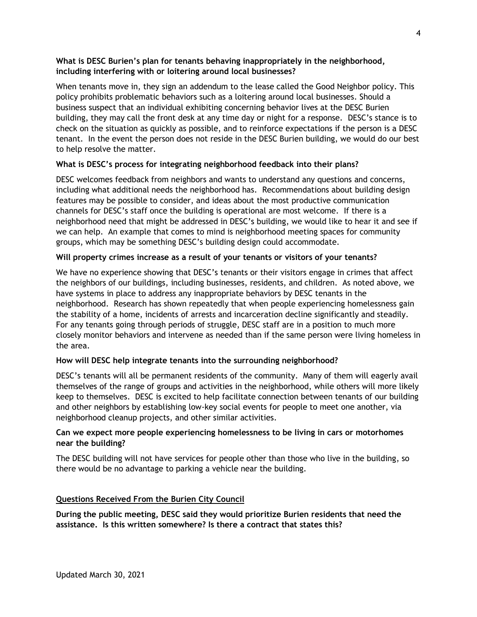## **What is DESC Burien's plan for tenants behaving inappropriately in the neighborhood, including interfering with or loitering around local businesses?**

When tenants move in, they sign an addendum to the lease called the Good Neighbor policy. This policy prohibits problematic behaviors such as a loitering around local businesses. Should a business suspect that an individual exhibiting concerning behavior lives at the DESC Burien building, they may call the front desk at any time day or night for a response. DESC's stance is to check on the situation as quickly as possible, and to reinforce expectations if the person is a DESC tenant. In the event the person does not reside in the DESC Burien building, we would do our best to help resolve the matter.

# **What is DESC's process for integrating neighborhood feedback into their plans?**

DESC welcomes feedback from neighbors and wants to understand any questions and concerns, including what additional needs the neighborhood has. Recommendations about building design features may be possible to consider, and ideas about the most productive communication channels for DESC's staff once the building is operational are most welcome. If there is a neighborhood need that might be addressed in DESC's building, we would like to hear it and see if we can help. An example that comes to mind is neighborhood meeting spaces for community groups, which may be something DESC's building design could accommodate.

## **Will property crimes increase as a result of your tenants or visitors of your tenants?**

We have no experience showing that DESC's tenants or their visitors engage in crimes that affect the neighbors of our buildings, including businesses, residents, and children. As noted above, we have systems in place to address any inappropriate behaviors by DESC tenants in the neighborhood. Research has shown repeatedly that when people experiencing homelessness gain the stability of a home, incidents of arrests and incarceration decline significantly and steadily. For any tenants going through periods of struggle, DESC staff are in a position to much more closely monitor behaviors and intervene as needed than if the same person were living homeless in the area.

## **How will DESC help integrate tenants into the surrounding neighborhood?**

DESC's tenants will all be permanent residents of the community. Many of them will eagerly avail themselves of the range of groups and activities in the neighborhood, while others will more likely keep to themselves. DESC is excited to help facilitate connection between tenants of our building and other neighbors by establishing low-key social events for people to meet one another, via neighborhood cleanup projects, and other similar activities.

## **Can we expect more people experiencing homelessness to be living in cars or motorhomes near the building?**

The DESC building will not have services for people other than those who live in the building, so there would be no advantage to parking a vehicle near the building.

# **Questions Received From the Burien City Council**

**During the public meeting, DESC said they would prioritize Burien residents that need the assistance. Is this written somewhere? Is there a contract that states this?**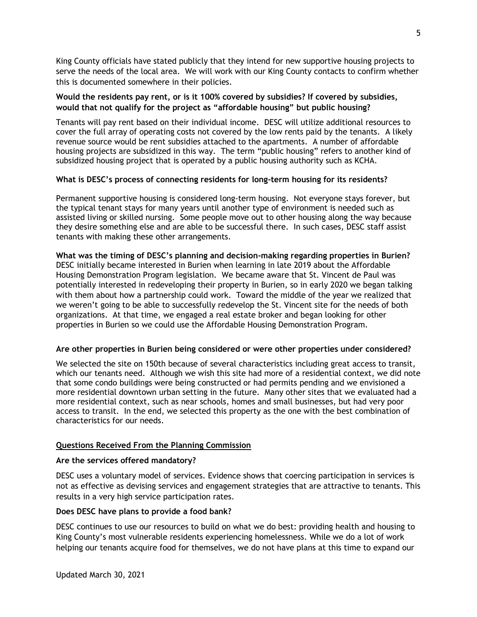King County officials have stated publicly that they intend for new supportive housing projects to serve the needs of the local area. We will work with our King County contacts to confirm whether this is documented somewhere in their policies.

## **Would the residents pay rent, or is it 100% covered by subsidies? If covered by subsidies, would that not qualify for the project as "affordable housing" but public housing?**

Tenants will pay rent based on their individual income. DESC will utilize additional resources to cover the full array of operating costs not covered by the low rents paid by the tenants. A likely revenue source would be rent subsidies attached to the apartments. A number of affordable housing projects are subsidized in this way. The term "public housing" refers to another kind of subsidized housing project that is operated by a public housing authority such as KCHA.

## **What is DESC's process of connecting residents for long-term housing for its residents?**

Permanent supportive housing is considered long-term housing. Not everyone stays forever, but the typical tenant stays for many years until another type of environment is needed such as assisted living or skilled nursing. Some people move out to other housing along the way because they desire something else and are able to be successful there. In such cases, DESC staff assist tenants with making these other arrangements.

**What was the timing of DESC's planning and decision-making regarding properties in Burien?** DESC initially became interested in Burien when learning in late 2019 about the Affordable Housing Demonstration Program legislation. We became aware that St. Vincent de Paul was potentially interested in redeveloping their property in Burien, so in early 2020 we began talking with them about how a partnership could work. Toward the middle of the year we realized that we weren't going to be able to successfully redevelop the St. Vincent site for the needs of both organizations. At that time, we engaged a real estate broker and began looking for other properties in Burien so we could use the Affordable Housing Demonstration Program.

## **Are other properties in Burien being considered or were other properties under considered?**

We selected the site on 150th because of several characteristics including great access to transit, which our tenants need. Although we wish this site had more of a residential context, we did note that some condo buildings were being constructed or had permits pending and we envisioned a more residential downtown urban setting in the future. Many other sites that we evaluated had a more residential context, such as near schools, homes and small businesses, but had very poor access to transit. In the end, we selected this property as the one with the best combination of characteristics for our needs.

# **Questions Received From the Planning Commission**

## **Are the services offered mandatory?**

DESC uses a voluntary model of services. Evidence shows that coercing participation in services is not as effective as devising services and engagement strategies that are attractive to tenants. This results in a very high service participation rates.

## **Does DESC have plans to provide a food bank?**

DESC continues to use our resources to build on what we do best: providing health and housing to King County's most vulnerable residents experiencing homelessness. While we do a lot of work helping our tenants acquire food for themselves, we do not have plans at this time to expand our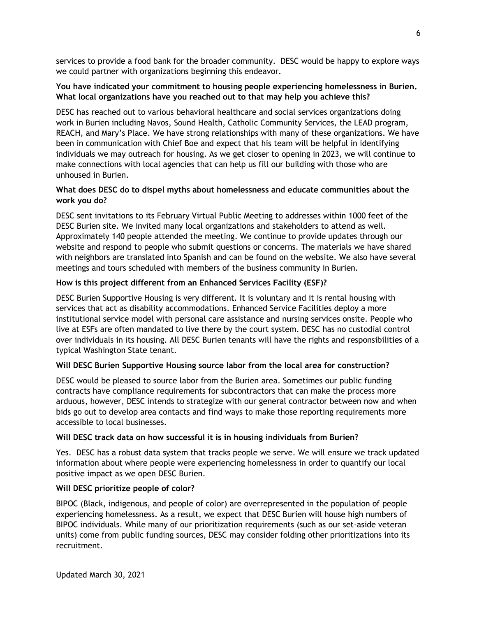services to provide a food bank for the broader community. DESC would be happy to explore ways we could partner with organizations beginning this endeavor.

# **You have indicated your commitment to housing people experiencing homelessness in Burien. What local organizations have you reached out to that may help you achieve this?**

DESC has reached out to various behavioral healthcare and social services organizations doing work in Burien including Navos, Sound Health, Catholic Community Services, the LEAD program, REACH, and Mary's Place. We have strong relationships with many of these organizations. We have been in communication with Chief Boe and expect that his team will be helpful in identifying individuals we may outreach for housing. As we get closer to opening in 2023, we will continue to make connections with local agencies that can help us fill our building with those who are unhoused in Burien.

# **What does DESC do to dispel myths about homelessness and educate communities about the work you do?**

DESC sent invitations to its February Virtual Public Meeting to addresses within 1000 feet of the DESC Burien site. We invited many local organizations and stakeholders to attend as well. Approximately 140 people attended the meeting. We continue to provide updates through our website and respond to people who submit questions or concerns. The materials we have shared with neighbors are translated into Spanish and can be found on the website. We also have several meetings and tours scheduled with members of the business community in Burien.

# **How is this project different from an Enhanced Services Facility (ESF)?**

DESC Burien Supportive Housing is very different. It is voluntary and it is rental housing with services that act as disability accommodations. Enhanced Service Facilities deploy a more institutional service model with personal care assistance and nursing services onsite. People who live at ESFs are often mandated to live there by the court system. DESC has no custodial control over individuals in its housing. All DESC Burien tenants will have the rights and responsibilities of a typical Washington State tenant.

# **Will DESC Burien Supportive Housing source labor from the local area for construction?**

DESC would be pleased to source labor from the Burien area. Sometimes our public funding contracts have compliance requirements for subcontractors that can make the process more arduous, however, DESC intends to strategize with our general contractor between now and when bids go out to develop area contacts and find ways to make those reporting requirements more accessible to local businesses.

# **Will DESC track data on how successful it is in housing individuals from Burien?**

Yes. DESC has a robust data system that tracks people we serve. We will ensure we track updated information about where people were experiencing homelessness in order to quantify our local positive impact as we open DESC Burien.

# **Will DESC prioritize people of color?**

BIPOC (Black, indigenous, and people of color) are overrepresented in the population of people experiencing homelessness. As a result, we expect that DESC Burien will house high numbers of BIPOC individuals. While many of our prioritization requirements (such as our set-aside veteran units) come from public funding sources, DESC may consider folding other prioritizations into its recruitment.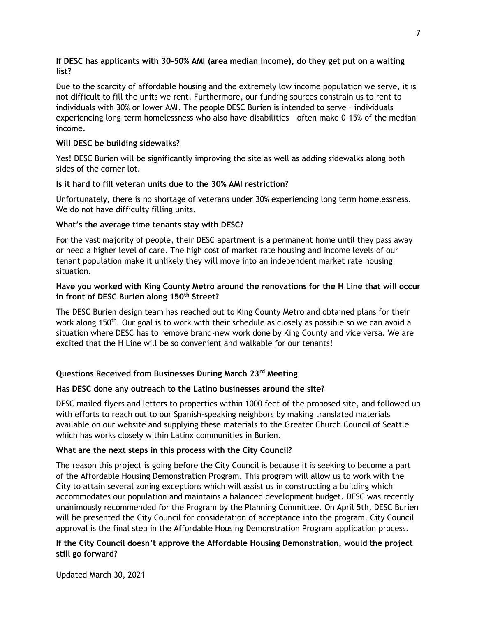## **If DESC has applicants with 30-50% AMI (area median income), do they get put on a waiting list?**

Due to the scarcity of affordable housing and the extremely low income population we serve, it is not difficult to fill the units we rent. Furthermore, our funding sources constrain us to rent to individuals with 30% or lower AMI. The people DESC Burien is intended to serve – individuals experiencing long-term homelessness who also have disabilities – often make 0-15% of the median income.

# **Will DESC be building sidewalks?**

Yes! DESC Burien will be significantly improving the site as well as adding sidewalks along both sides of the corner lot.

## **Is it hard to fill veteran units due to the 30% AMI restriction?**

Unfortunately, there is no shortage of veterans under 30% experiencing long term homelessness. We do not have difficulty filling units.

## **What's the average time tenants stay with DESC?**

For the vast majority of people, their DESC apartment is a permanent home until they pass away or need a higher level of care. The high cost of market rate housing and income levels of our tenant population make it unlikely they will move into an independent market rate housing situation.

## **Have you worked with King County Metro around the renovations for the H Line that will occur in front of DESC Burien along 150th Street?**

The DESC Burien design team has reached out to King County Metro and obtained plans for their work along 150<sup>th</sup>. Our goal is to work with their schedule as closely as possible so we can avoid a situation where DESC has to remove brand-new work done by King County and vice versa. We are excited that the H Line will be so convenient and walkable for our tenants!

# **Questions Received from Businesses During March 23rd Meeting**

## **Has DESC done any outreach to the Latino businesses around the site?**

DESC mailed flyers and letters to properties within 1000 feet of the proposed site, and followed up with efforts to reach out to our Spanish-speaking neighbors by making translated materials available on our website and supplying these materials to the Greater Church Council of Seattle which has works closely within Latinx communities in Burien.

## **What are the next steps in this process with the City Council?**

The reason this project is going before the City Council is because it is seeking to become a part of the Affordable Housing Demonstration Program. This program will allow us to work with the City to attain several zoning exceptions which will assist us in constructing a building which accommodates our population and maintains a balanced development budget. DESC was recently unanimously recommended for the Program by the Planning Committee. On April 5th, DESC Burien will be presented the City Council for consideration of acceptance into the program. City Council approval is the final step in the Affordable Housing Demonstration Program application process.

# **If the City Council doesn't approve the Affordable Housing Demonstration, would the project still go forward?**

Updated March 30, 2021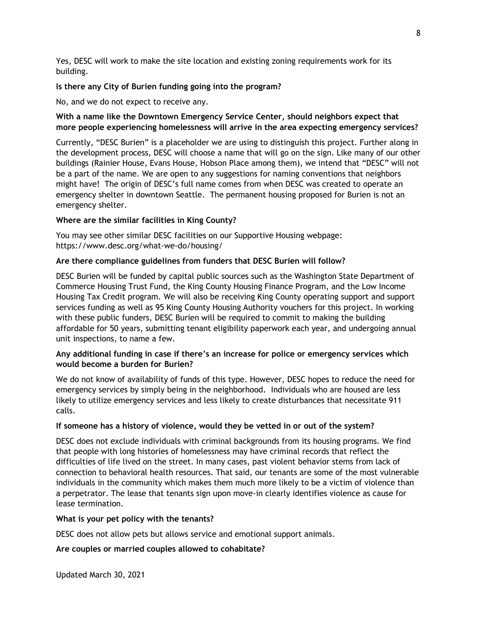Yes, DESC will work to make the site location and existing zoning requirements work for its building.

## **Is there any City of Burien funding going into the program?**

No, and we do not expect to receive any.

# **With a name like the Downtown Emergency Service Center, should neighbors expect that more people experiencing homelessness will arrive in the area expecting emergency services?**

Currently, "DESC Burien" is a placeholder we are using to distinguish this project. Further along in the development process, DESC will choose a name that will go on the sign. Like many of our other buildings (Rainier House, Evans House, Hobson Place among them), we intend that "DESC" will not be a part of the name. We are open to any suggestions for naming conventions that neighbors might have! The origin of DESC's full name comes from when DESC was created to operate an emergency shelter in downtown Seattle. The permanent housing proposed for Burien is not an emergency shelter.

# **Where are the similar facilities in King County?**

You may see other similar DESC facilities on our Supportive Housing webpage: https://www.desc.org/what-we-do/housing/

## **Are there compliance guidelines from funders that DESC Burien will follow?**

DESC Burien will be funded by capital public sources such as the Washington State Department of Commerce Housing Trust Fund, the King County Housing Finance Program, and the Low Income Housing Tax Credit program. We will also be receiving King County operating support and support services funding as well as 95 King County Housing Authority vouchers for this project. In working with these public funders, DESC Burien will be required to commit to making the building affordable for 50 years, submitting tenant eligibility paperwork each year, and undergoing annual unit inspections, to name a few.

# **Any additional funding in case if there's an increase for police or emergency services which would become a burden for Burien?**

We do not know of availability of funds of this type. However, DESC hopes to reduce the need for emergency services by simply being in the neighborhood. Individuals who are housed are less likely to utilize emergency services and less likely to create disturbances that necessitate 911 calls.

## **If someone has a history of violence, would they be vetted in or out of the system?**

DESC does not exclude individuals with criminal backgrounds from its housing programs. We find that people with long histories of homelessness may have criminal records that reflect the difficulties of life lived on the street. In many cases, past violent behavior stems from lack of connection to behavioral health resources. That said, our tenants are some of the most vulnerable individuals in the community which makes them much more likely to be a victim of violence than a perpetrator. The lease that tenants sign upon move-in clearly identifies violence as cause for lease termination.

## **What is your pet policy with the tenants?**

DESC does not allow pets but allows service and emotional support animals.

## **Are couples or married couples allowed to cohabitate?**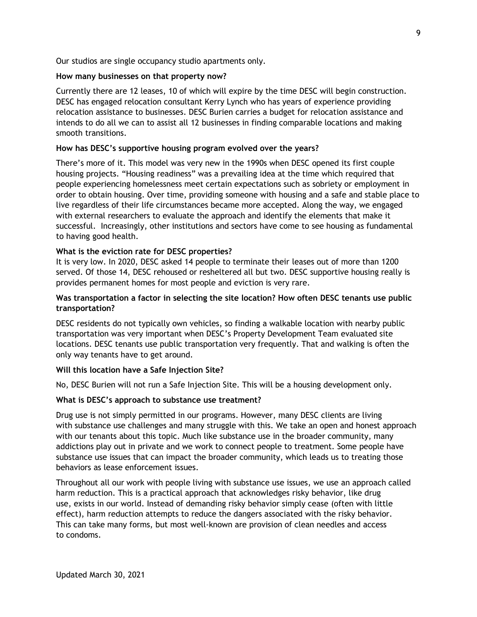Our studios are single occupancy studio apartments only.

#### **How many businesses on that property now?**

Currently there are 12 leases, 10 of which will expire by the time DESC will begin construction. DESC has engaged relocation consultant Kerry Lynch who has years of experience providing relocation assistance to businesses. DESC Burien carries a budget for relocation assistance and intends to do all we can to assist all 12 businesses in finding comparable locations and making smooth transitions.

## **How has DESC's supportive housing program evolved over the years?**

There's more of it. This model was very new in the 1990s when DESC opened its first couple housing projects. "Housing readiness" was a prevailing idea at the time which required that people experiencing homelessness meet certain expectations such as sobriety or employment in order to obtain housing. Over time, providing someone with housing and a safe and stable place to live regardless of their life circumstances became more accepted. Along the way, we engaged with external researchers to evaluate the approach and identify the elements that make it successful. Increasingly, other institutions and sectors have come to see housing as fundamental to having good health.

## **What is the eviction rate for DESC properties?**

It is very low. In 2020, DESC asked 14 people to terminate their leases out of more than 1200 served. Of those 14, DESC rehoused or resheltered all but two. DESC supportive housing really is provides permanent homes for most people and eviction is very rare.

## **Was transportation a factor in selecting the site location? How often DESC tenants use public transportation?**

DESC residents do not typically own vehicles, so finding a walkable location with nearby public transportation was very important when DESC's Property Development Team evaluated site locations. DESC tenants use public transportation very frequently. That and walking is often the only way tenants have to get around.

## **Will this location have a Safe Injection Site?**

No, DESC Burien will not run a Safe Injection Site. This will be a housing development only.

## **What is DESC's approach to substance use treatment?**

Drug use is not simply permitted in our programs. However, many DESC clients are living with substance use challenges and many struggle with this. We take an open and honest approach with our tenants about this topic. Much like substance use in the broader community, many addictions play out in private and we work to connect people to treatment. Some people have substance use issues that can impact the broader community, which leads us to treating those behaviors as lease enforcement issues.

Throughout all our work with people living with substance use issues, we use an approach called harm reduction. This is a practical approach that acknowledges risky behavior, like drug use, exists in our world. Instead of demanding risky behavior simply cease (often with little effect), harm reduction attempts to reduce the dangers associated with the risky behavior. This can take many forms, but most well-known are provision of clean needles and access to condoms.